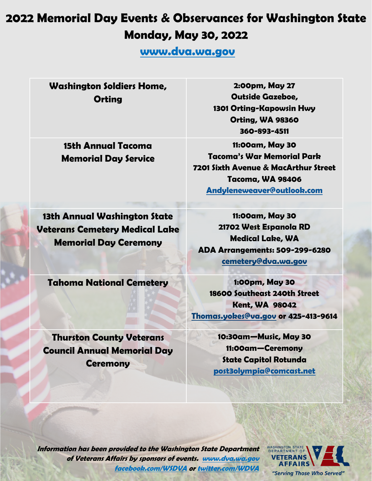## **2022 Memorial Day Events & Observances for Washington State Monday, May 30, 2022**

**[www.dva.wa.gov](http://www.dva.wa.gov)**

**Washington Soldiers Home, Orting**

> **15th Annual Tacoma Memorial Day Service**

**2:00pm, May 27 Outside Gazeboe, 1301 Orting-Kapowsin Hwy Orting, WA 98360 360-893-4511**

**11:00am, May 30 Tacoma's War Memorial Park 7201 Sixth Avenue & MacArthur Street Tacoma, WA 98406 [Andyleneweaver@outlook.com](mailto:Andyleneweaver@outlook.com)**

**13th Annual Washington State Veterans Cemetery Medical Lake Memorial Day Ceremony**

**Tahoma National Cemetery 1:00pm, May 30** 

**11:00am, May 30 21702 West Espanola RD Medical Lake, WA ADA Arrangements: 509-299-6280 [cemetery@dva.wa.gov](mailto:cemetery@dva.wa.gov)**

**18600 Southeast 240th Street Kent, WA 98042 [Thomas.yokes@va.gov](mailto:Thomas.yokes@va.gov) or 425-413-9614**

**Thurston County Veterans Council Annual Memorial Day Ceremony**

**10:30am—Music, May 30 11:00am—Ceremony State Capitol Rotunda [post3olympia@comcast.net](mailto:post3olympia@comcast.net)**

**Information has been provided to the Washington State Department of Veterans Affairs by sponsors of events. [www.dva.wa.gov](http://www.dva.wa.gov)  [facebook.com/WSDVA](http://www.facebook.com/WSDVA) or [twitter.com/WDVA](http://www.twitter.com/WDVA)**

WASHINGTON STATE<br>DEPARTMENT OF **VETERANS IFFAIRS** "Serving Those Who Served"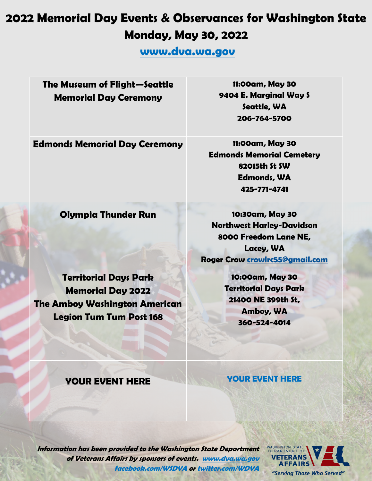# **2022 Memorial Day Events & Observances for Washington State Monday, May 30, 2022**

**[www.dva.wa.gov](http://www.dva.wa.gov)**

**The Museum of Flight—Seattle Memorial Day Ceremony**

**11:00am, May 30 9404 E. Marginal Way S Seattle, WA 206-764-5700**

**Edmonds Memorial Day Ceremony 11:00am, May 30**

**Edmonds Memorial Cemetery 82015th St SW Edmonds, WA 425-771-4741**

**Olympia Thunder Run 10:30am, May 30** 

**Northwest Harley-Davidson 8000 Freedom Lane NE, Lacey, WA Roger Crow [crowlrc55@gmail.com](mailto:crowlrc55@gmail.com)**

**Territorial Days Park Memorial Day 2022 The Amboy Washington American Legion Tum Tum Post 168**

**10:00am, May 30 Territorial Days Park 21400 NE 399th St, Amboy, WA 360-524-4014**

#### **YOUR EVENT HERE YOUR EVENT HERE**

**Information has been provided to the Washington State Department of Veterans Affairs by sponsors of events. [www.dva.wa.gov](http://www.dva.wa.gov)  [facebook.com/WSDVA](http://www.facebook.com/WSDVA) or [twitter.com/WDVA](http://www.twitter.com/WDVA)**

WASHINGTON STATE<br>DEPARTMENT O **VETERANS IFFAIRS** "Serving Those Who Served"